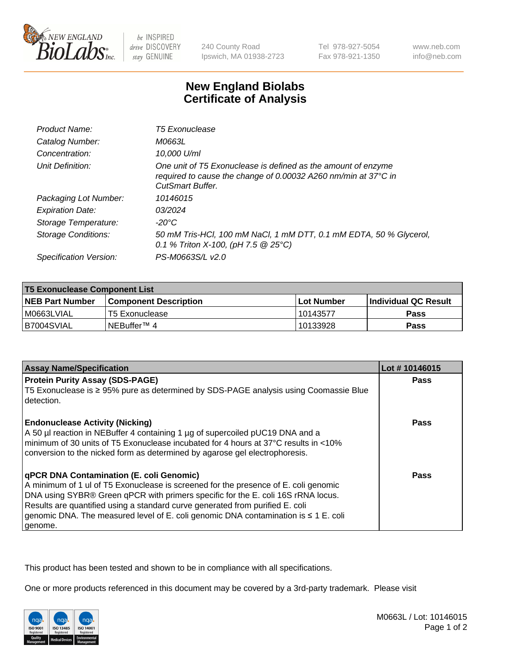

be INSPIRED drive DISCOVERY stay GENUINE

240 County Road Ipswich, MA 01938-2723 Tel 978-927-5054 Fax 978-921-1350

www.neb.com info@neb.com

## **New England Biolabs Certificate of Analysis**

| Product Name:              | <b>T5 Exonuclease</b>                                                                                                                                      |
|----------------------------|------------------------------------------------------------------------------------------------------------------------------------------------------------|
| Catalog Number:            | M0663L                                                                                                                                                     |
| Concentration:             | 10,000 U/ml                                                                                                                                                |
| Unit Definition:           | One unit of T5 Exonuclease is defined as the amount of enzyme<br>required to cause the change of 0.00032 A260 nm/min at 37°C in<br><b>CutSmart Buffer.</b> |
| Packaging Lot Number:      | 10146015                                                                                                                                                   |
| <b>Expiration Date:</b>    | 03/2024                                                                                                                                                    |
| Storage Temperature:       | $-20^{\circ}$ C                                                                                                                                            |
| <b>Storage Conditions:</b> | 50 mM Tris-HCl, 100 mM NaCl, 1 mM DTT, 0.1 mM EDTA, 50 % Glycerol,<br>0.1 % Triton X-100, (pH 7.5 $@25°C$ )                                                |
| Specification Version:     | PS-M0663S/L v2.0                                                                                                                                           |

| <b>T5 Exonuclease Component List</b> |                         |             |                             |  |
|--------------------------------------|-------------------------|-------------|-----------------------------|--|
| <b>NEB Part Number</b>               | l Component Description | ⊺Lot Number | <b>Individual QC Result</b> |  |
| I M0663LVIAL                         | T5 Exonuclease          | 10143577    | <b>Pass</b>                 |  |
| IB7004SVIAL                          | l NEBuffer™ 4∶          | 10133928    | <b>Pass</b>                 |  |

| <b>Assay Name/Specification</b>                                                                                                                                     | Lot #10146015 |
|---------------------------------------------------------------------------------------------------------------------------------------------------------------------|---------------|
| <b>Protein Purity Assay (SDS-PAGE)</b>                                                                                                                              | <b>Pass</b>   |
| T5 Exonuclease is ≥ 95% pure as determined by SDS-PAGE analysis using Coomassie Blue<br>detection.                                                                  |               |
| <b>Endonuclease Activity (Nicking)</b><br>A 50 µl reaction in NEBuffer 4 containing 1 µg of supercoiled pUC19 DNA and a                                             | <b>Pass</b>   |
| Iminimum of 30 units of T5 Exonuclease incubated for 4 hours at 37°C results in <10%<br>conversion to the nicked form as determined by agarose gel electrophoresis. |               |
| <b>qPCR DNA Contamination (E. coli Genomic)</b>                                                                                                                     | <b>Pass</b>   |
| A minimum of 1 ul of T5 Exonuclease is screened for the presence of E. coli genomic                                                                                 |               |
| DNA using SYBR® Green qPCR with primers specific for the E. coli 16S rRNA locus.                                                                                    |               |
| Results are quantified using a standard curve generated from purified E. coli                                                                                       |               |
| genomic DNA. The measured level of E. coli genomic DNA contamination is $\leq 1$ E. coli                                                                            |               |
| genome.                                                                                                                                                             |               |

This product has been tested and shown to be in compliance with all specifications.

One or more products referenced in this document may be covered by a 3rd-party trademark. Please visit